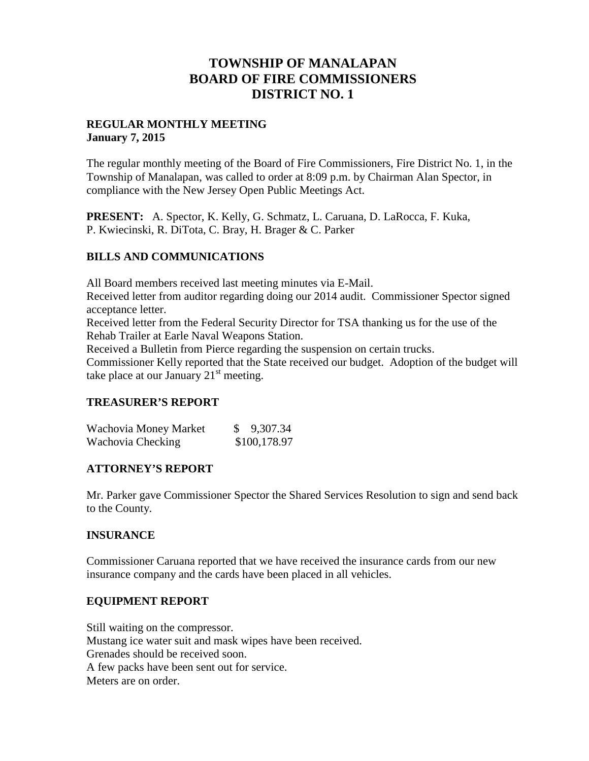## **TOWNSHIP OF MANALAPAN BOARD OF FIRE COMMISSIONERS DISTRICT NO. 1**

### **REGULAR MONTHLY MEETING January 7, 2015**

The regular monthly meeting of the Board of Fire Commissioners, Fire District No. 1, in the Township of Manalapan, was called to order at 8:09 p.m. by Chairman Alan Spector, in compliance with the New Jersey Open Public Meetings Act.

**PRESENT:** A. Spector, K. Kelly, G. Schmatz, L. Caruana, D. LaRocca, F. Kuka, P. Kwiecinski, R. DiTota, C. Bray, H. Brager & C. Parker

## **BILLS AND COMMUNICATIONS**

All Board members received last meeting minutes via E-Mail.

Received letter from auditor regarding doing our 2014 audit. Commissioner Spector signed acceptance letter.

Received letter from the Federal Security Director for TSA thanking us for the use of the Rehab Trailer at Earle Naval Weapons Station.

Received a Bulletin from Pierce regarding the suspension on certain trucks.

Commissioner Kelly reported that the State received our budget. Adoption of the budget will take place at our January  $21<sup>st</sup>$  meeting.

## **TREASURER'S REPORT**

| Wachovia Money Market | \$9,307.34   |
|-----------------------|--------------|
| Wachovia Checking     | \$100,178.97 |

## **ATTORNEY'S REPORT**

Mr. Parker gave Commissioner Spector the Shared Services Resolution to sign and send back to the County.

## **INSURANCE**

Commissioner Caruana reported that we have received the insurance cards from our new insurance company and the cards have been placed in all vehicles.

## **EQUIPMENT REPORT**

Still waiting on the compressor. Mustang ice water suit and mask wipes have been received. Grenades should be received soon. A few packs have been sent out for service. Meters are on order.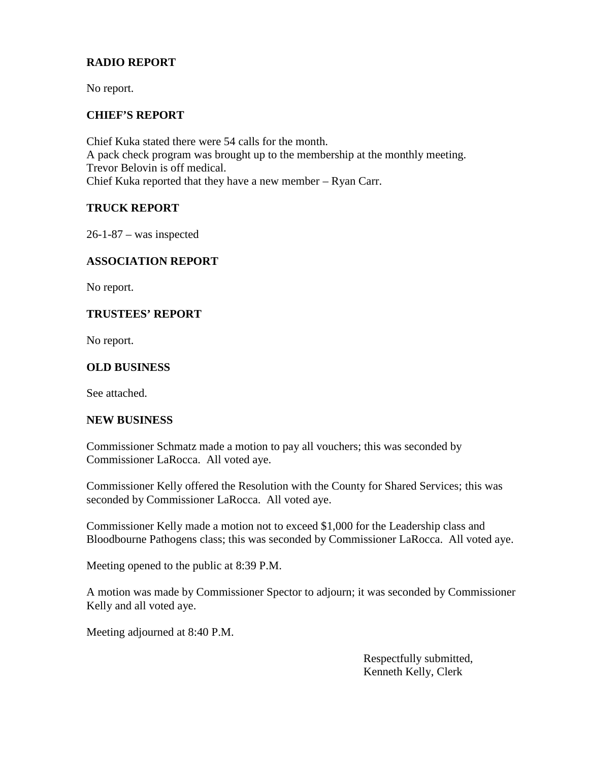## **RADIO REPORT**

No report.

### **CHIEF'S REPORT**

Chief Kuka stated there were 54 calls for the month. A pack check program was brought up to the membership at the monthly meeting. Trevor Belovin is off medical. Chief Kuka reported that they have a new member – Ryan Carr.

### **TRUCK REPORT**

26-1-87 – was inspected

## **ASSOCIATION REPORT**

No report.

### **TRUSTEES' REPORT**

No report.

### **OLD BUSINESS**

See attached.

#### **NEW BUSINESS**

Commissioner Schmatz made a motion to pay all vouchers; this was seconded by Commissioner LaRocca. All voted aye.

Commissioner Kelly offered the Resolution with the County for Shared Services; this was seconded by Commissioner LaRocca. All voted aye.

Commissioner Kelly made a motion not to exceed \$1,000 for the Leadership class and Bloodbourne Pathogens class; this was seconded by Commissioner LaRocca. All voted aye.

Meeting opened to the public at 8:39 P.M.

A motion was made by Commissioner Spector to adjourn; it was seconded by Commissioner Kelly and all voted aye.

Meeting adjourned at 8:40 P.M.

Respectfully submitted, Kenneth Kelly, Clerk